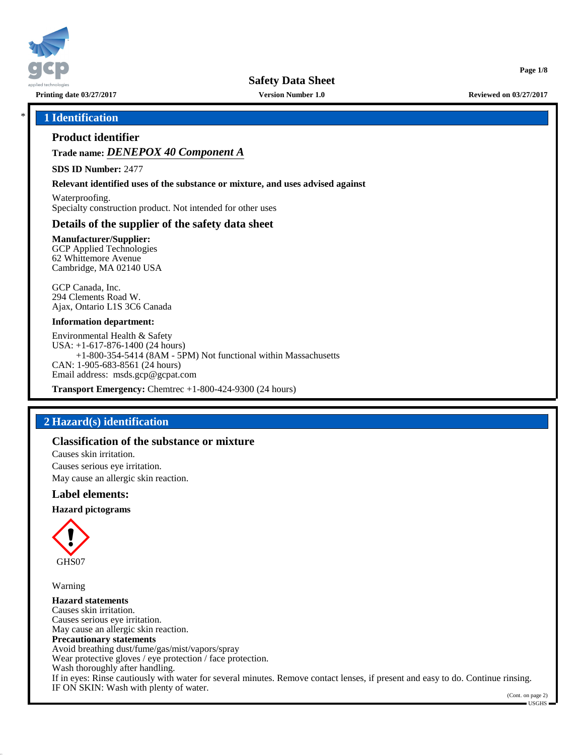

**Printing date 03/27/2017 Version Number 1.0 Reviewed on 03/27/2017**

**Page 1/8**

#### \* **1 Identification**

## **Product identifier**

**Trade name:** *DENEPOX 40 Component A*

**SDS ID Number:** 2477

**Relevant identified uses of the substance or mixture, and uses advised against**

Waterproofing. Specialty construction product. Not intended for other uses

## **Details of the supplier of the safety data sheet**

**Manufacturer/Supplier:** GCP Applied Technologies 62 Whittemore Avenue Cambridge, MA 02140 USA

GCP Canada, Inc. 294 Clements Road W. Ajax, Ontario L1S 3C6 Canada

#### **Information department:**

Environmental Health & Safety USA: +1-617-876-1400 (24 hours) +1-800-354-5414 (8AM - 5PM) Not functional within Massachusetts CAN: 1-905-683-8561 (24 hours) Email address: msds.gcp@gcpat.com

**Transport Emergency:** Chemtrec +1-800-424-9300 (24 hours)

## **2 Hazard(s) identification**

#### **Classification of the substance or mixture**

Causes skin irritation. Causes serious eye irritation. May cause an allergic skin reaction.

#### **Label elements:**

**Hazard pictograms**



Warning

**Hazard statements** Causes skin irritation. Causes serious eye irritation. May cause an allergic skin reaction. **Precautionary statements** Avoid breathing dust/fume/gas/mist/vapors/spray Wear protective gloves / eye protection / face protection. Wash thoroughly after handling. If in eyes: Rinse cautiously with water for several minutes. Remove contact lenses, if present and easy to do. Continue rinsing. IF ON SKIN: Wash with plenty of water.

(Cont. on page 2)  $\blacksquare$  USGHS  $\blacksquare$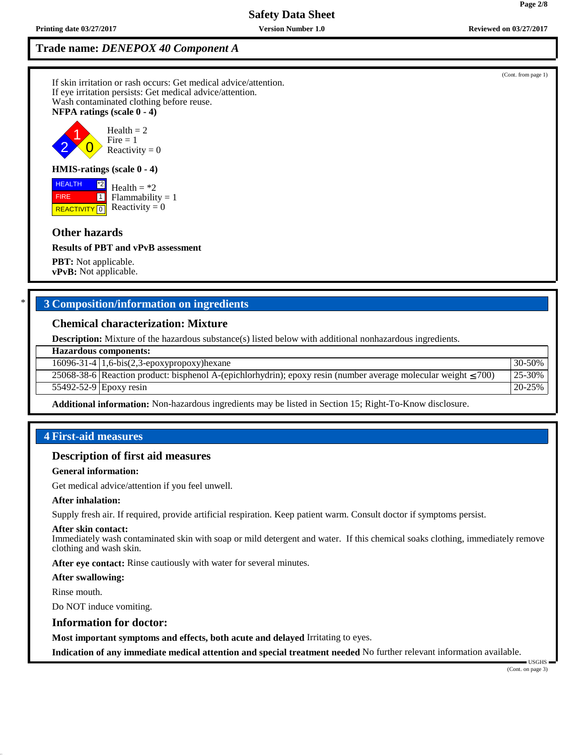**Trade name:** *DENEPOX 40 Component A*

If skin irritation or rash occurs: Get medical advice/attention. If eye irritation persists: Get medical advice/attention. Wash contaminated clothing before reuse. **NFPA ratings (scale 0 - 4)**

2 1  $\overline{\mathbf{0}}$  $Health = 2$  $Fire = 1$ Reactivity  $= 0$ 

#### **HMIS-ratings (scale 0 - 4)**

**REACTIVITY** 0 \*2  $\boxed{1}$  $Health = *2$  $Flammability = 1$ Reactivity  $= 0$ 

#### **Other hazards**

 HEALTH FIRE

**Results of PBT and vPvB assessment**

**PBT:** Not applicable. **vPvB:** Not applicable.

## \* **3 Composition/information on ingredients**

#### **Chemical characterization: Mixture**

**Description:** Mixture of the hazardous substance(s) listed below with additional nonhazardous ingredients.

#### **Hazardous components:**

16096-31-4 | 1,6-bis(2,3-epoxypropoxy)hexane 30-50% 30-50% 30-50%

25068-38-6 Reaction product: bisphenol A-(epichlorhydrin); epoxy resin (number average molecular weight ≤ 700) 25-30% 55492-52-9 Epoxy resin 20-25%

**Additional information:** Non-hazardous ingredients may be listed in Section 15; Right-To-Know disclosure.

#### **4 First-aid measures**

## **Description of first aid measures**

**General information:**

Get medical advice/attention if you feel unwell.

#### **After inhalation:**

Supply fresh air. If required, provide artificial respiration. Keep patient warm. Consult doctor if symptoms persist.

#### **After skin contact:**

Immediately wash contaminated skin with soap or mild detergent and water. If this chemical soaks clothing, immediately remove clothing and wash skin.

**After eye contact:** Rinse cautiously with water for several minutes.

**After swallowing:**

Rinse mouth.

Do NOT induce vomiting.

#### **Information for doctor:**

**Most important symptoms and effects, both acute and delayed** Irritating to eyes.

**Indication of any immediate medical attention and special treatment needed** No further relevant information available.

(Cont. from page 1)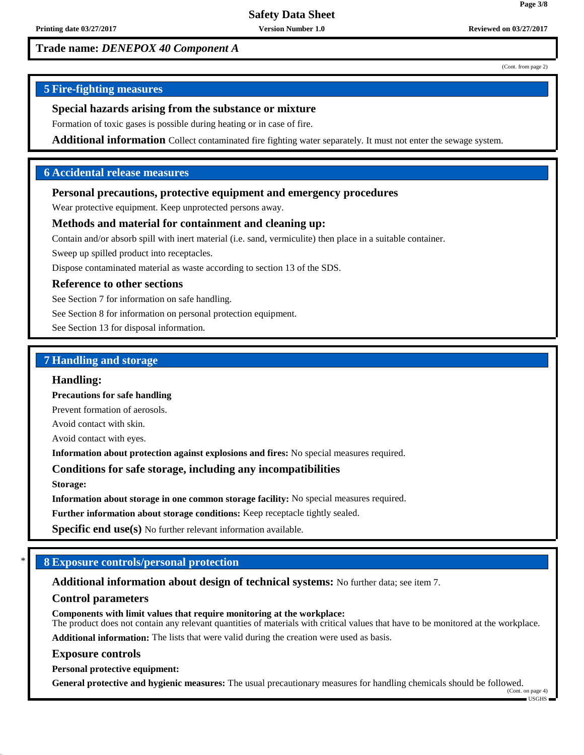**Page 3/8**

## **Trade name:** *DENEPOX 40 Component A*

(Cont. from page 2)

## **5 Fire-fighting measures**

## **Special hazards arising from the substance or mixture**

Formation of toxic gases is possible during heating or in case of fire.

**Additional information** Collect contaminated fire fighting water separately. It must not enter the sewage system.

## **6 Accidental release measures**

## **Personal precautions, protective equipment and emergency procedures**

Wear protective equipment. Keep unprotected persons away.

#### **Methods and material for containment and cleaning up:**

Contain and/or absorb spill with inert material (i.e. sand, vermiculite) then place in a suitable container.

Sweep up spilled product into receptacles.

Dispose contaminated material as waste according to section 13 of the SDS.

#### **Reference to other sections**

See Section 7 for information on safe handling.

See Section 8 for information on personal protection equipment.

See Section 13 for disposal information.

#### **7 Handling and storage**

#### **Handling:**

**Precautions for safe handling**

Prevent formation of aerosols.

Avoid contact with skin.

Avoid contact with eyes.

**Information about protection against explosions and fires:** No special measures required.

#### **Conditions for safe storage, including any incompatibilities**

**Storage:**

**Information about storage in one common storage facility:** No special measures required.

**Further information about storage conditions:** Keep receptacle tightly sealed.

**Specific end use(s)** No further relevant information available.

## \* **8 Exposure controls/personal protection**

**Additional information about design of technical systems:** No further data; see item 7.

#### **Control parameters**

**Components with limit values that require monitoring at the workplace:** The product does not contain any relevant quantities of materials with critical values that have to be monitored at the workplace.

**Additional information:** The lists that were valid during the creation were used as basis.

#### **Exposure controls**

**Personal protective equipment:**

**General protective and hygienic measures:** The usual precautionary measures for handling chemicals should be followed. (Cont. on page 4)

USGHS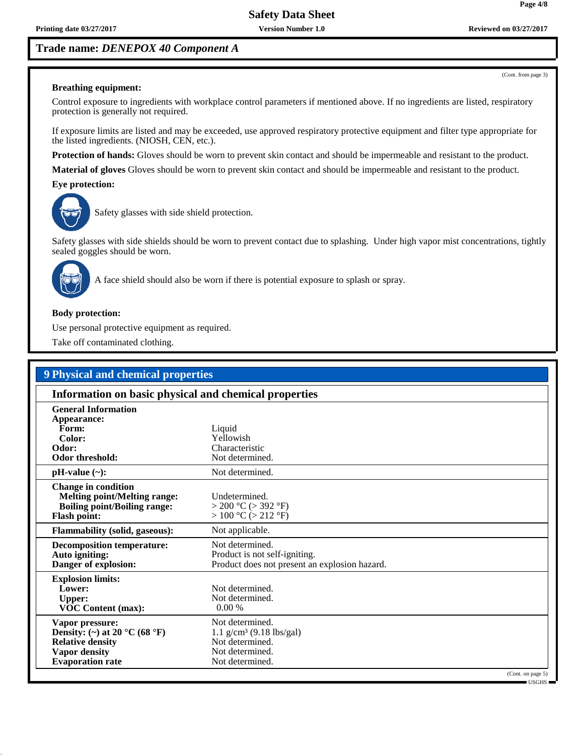**Page 4/8**

(Cont. from page 3)

## **Trade name:** *DENEPOX 40 Component A*

#### **Breathing equipment:**

Control exposure to ingredients with workplace control parameters if mentioned above. If no ingredients are listed, respiratory protection is generally not required.

If exposure limits are listed and may be exceeded, use approved respiratory protective equipment and filter type appropriate for the listed ingredients. (NIOSH, CEN, etc.).

**Protection of hands:** Gloves should be worn to prevent skin contact and should be impermeable and resistant to the product.

**Material of gloves** Gloves should be worn to prevent skin contact and should be impermeable and resistant to the product.

**Eye protection:**



Safety glasses with side shield protection.

Safety glasses with side shields should be worn to prevent contact due to splashing. Under high vapor mist concentrations, tightly sealed goggles should be worn.



A face shield should also be worn if there is potential exposure to splash or spray.

#### **Body protection:**

Use personal protective equipment as required.

Take off contaminated clothing.

| Information on basic physical and chemical properties                                                                                              |                                                                                                                    |  |
|----------------------------------------------------------------------------------------------------------------------------------------------------|--------------------------------------------------------------------------------------------------------------------|--|
| <b>General Information</b><br>Appearance:<br>Form:<br>Color:<br>Odor:<br>Odor threshold:                                                           | Liquid<br>Yellowish<br>Characteristic<br>Not determined.                                                           |  |
| $pH-value (\sim):$                                                                                                                                 | Not determined.                                                                                                    |  |
| <b>Change in condition</b><br><b>Melting point/Melting range:</b><br><b>Boiling point/Boiling range:</b><br><b>Flash point:</b>                    | Undetermined.<br>$>$ 200 °C ( $>$ 392 °F)<br>> 100 °C (> 212 °F)                                                   |  |
| <b>Flammability (solid, gaseous):</b>                                                                                                              | Not applicable.                                                                                                    |  |
| <b>Decomposition temperature:</b><br>Auto igniting:<br>Danger of explosion:                                                                        | Not determined.<br>Product is not self-igniting.<br>Product does not present an explosion hazard.                  |  |
| <b>Explosion limits:</b><br>Lower:<br><b>Upper:</b><br><b>VOC Content (max):</b>                                                                   | Not determined.<br>Not determined.<br>0.00%                                                                        |  |
| Vapor pressure:<br>Density: (~) at 20 $^{\circ}$ C (68 $^{\circ}$ F)<br><b>Relative density</b><br><b>Vapor density</b><br><b>Evaporation rate</b> | Not determined.<br>$1.1$ g/cm <sup>3</sup> (9.18 lbs/gal)<br>Not determined.<br>Not determined.<br>Not determined. |  |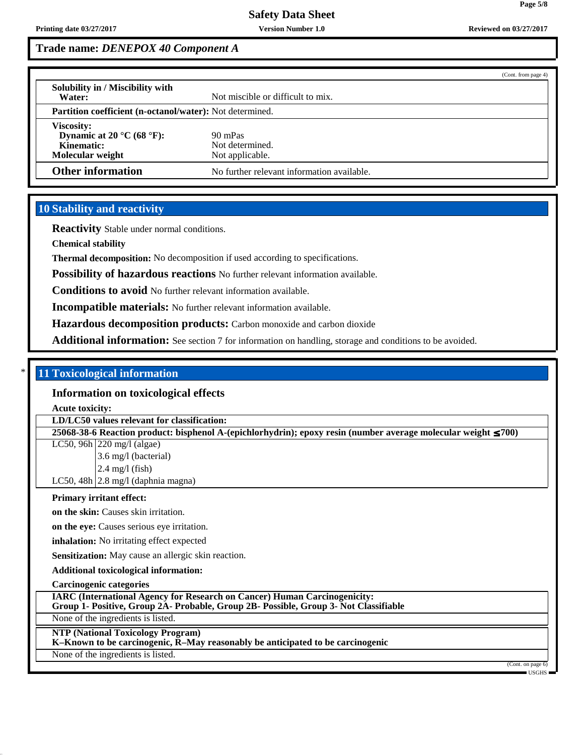## **Trade name:** *DENEPOX 40 Component A*

|                                                                                                                       | (Cont. from page 4)                                             |  |  |
|-----------------------------------------------------------------------------------------------------------------------|-----------------------------------------------------------------|--|--|
| Solubility in / Miscibility with<br>Water:                                                                            | Not miscible or difficult to mix.                               |  |  |
|                                                                                                                       | <b>Partition coefficient (n-octanol/water):</b> Not determined. |  |  |
| <b>Viscosity:</b><br>Dynamic at 20 $\mathrm{^{\circ}C}$ (68 $\mathrm{^{\circ}F}$ ):<br>Kinematic:<br>Molecular weight | 90 mPas<br>Not determined.<br>Not applicable.                   |  |  |
| <b>Other information</b>                                                                                              | No further relevant information available.                      |  |  |

## **10 Stability and reactivity**

**Reactivity** Stable under normal conditions.

**Chemical stability**

**Thermal decomposition:** No decomposition if used according to specifications.

**Possibility of hazardous reactions** No further relevant information available.

**Conditions to avoid** No further relevant information available.

**Incompatible materials:** No further relevant information available.

**Hazardous decomposition products:** Carbon monoxide and carbon dioxide

Additional information: See section 7 for information on handling, storage and conditions to be avoided.

## \* **11 Toxicological information**

#### **Information on toxicological effects**

**Acute toxicity:**

**LD/LC50 values relevant for classification:**

**25068-38-6 Reaction product: bisphenol A-(epichlorhydrin); epoxy resin (number average molecular weight** ≤ **700)**

LC50, 96h 220 mg/l (algae) 3.6 mg/l (bacterial)

2.4 mg/l (fish)

LC50,  $48h$  2.8 mg/l (daphnia magna)

#### **Primary irritant effect:**

**on the skin:** Causes skin irritation.

**on the eye:** Causes serious eye irritation.

**inhalation:** No irritating effect expected

**Sensitization:** May cause an allergic skin reaction.

**Additional toxicological information:**

**Carcinogenic categories**

**IARC (International Agency for Research on Cancer) Human Carcinogenicity:**

**Group 1- Positive, Group 2A- Probable, Group 2B- Possible, Group 3- Not Classifiable**

None of the ingredients is listed.

## **NTP (National Toxicology Program)**

**K–Known to be carcinogenic, R–May reasonably be anticipated to be carcinogenic**

None of the ingredients is listed.

(Cont. on page 6) USGHS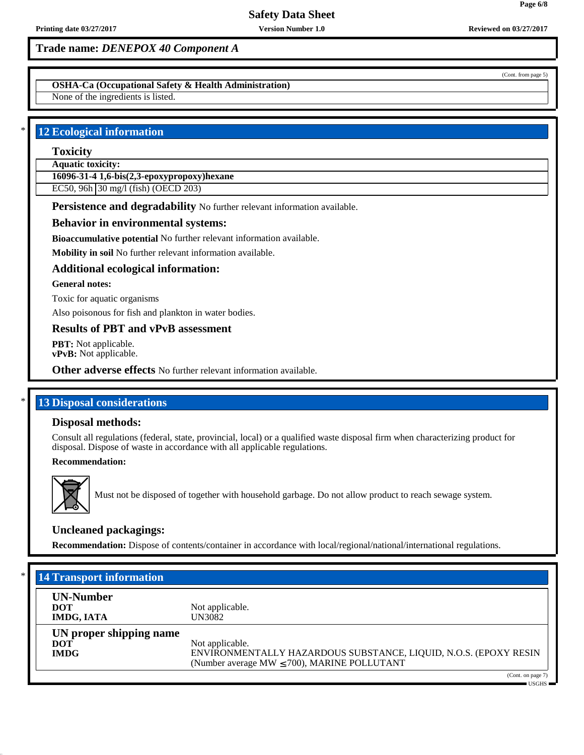**OSHA-Ca (Occupational Safety & Health Administration)**

None of the ingredients is listed.

## **12 Ecological information**

## **Toxicity**

**Aquatic toxicity:**

**16096-31-4 1,6-bis(2,3-epoxypropoxy)hexane**

EC50, 96h 30 mg/l (fish) (OECD 203)

**Persistence and degradability** No further relevant information available.

#### **Behavior in environmental systems:**

**Bioaccumulative potential** No further relevant information available.

**Mobility in soil** No further relevant information available.

## **Additional ecological information:**

#### **General notes:**

Toxic for aquatic organisms

Also poisonous for fish and plankton in water bodies.

## **Results of PBT and vPvB assessment**

**PBT:** Not applicable. **vPvB:** Not applicable.

**Other adverse effects** No further relevant information available.

## **13 Disposal considerations**

#### **Disposal methods:**

Consult all regulations (federal, state, provincial, local) or a qualified waste disposal firm when characterizing product for disposal. Dispose of waste in accordance with all applicable regulations.

## **Recommendation:**



Must not be disposed of together with household garbage. Do not allow product to reach sewage system.

## **Uncleaned packagings:**

**Recommendation:** Dispose of contents/container in accordance with local/regional/national/international regulations.

| $*$  <br><b>14 Transport information</b>             |                                                                                                                                         |
|------------------------------------------------------|-----------------------------------------------------------------------------------------------------------------------------------------|
| <b>UN-Number</b><br><b>DOT</b><br><b>IMDG, IATA</b>  | Not applicable.<br>UN3082                                                                                                               |
| UN proper shipping name<br><b>DOT</b><br><b>IMDG</b> | Not applicable.<br>ENVIRONMENTALLY HAZARDOUS SUBSTANCE, LIQUID, N.O.S. (EPOXY RESIN<br>(Number average MW $\leq$ 700), MARINE POLLUTANT |
|                                                      | (Cont. on page 7)<br>$USGHz$ $-$                                                                                                        |

**Page 6/8**

(Cont. from page 5)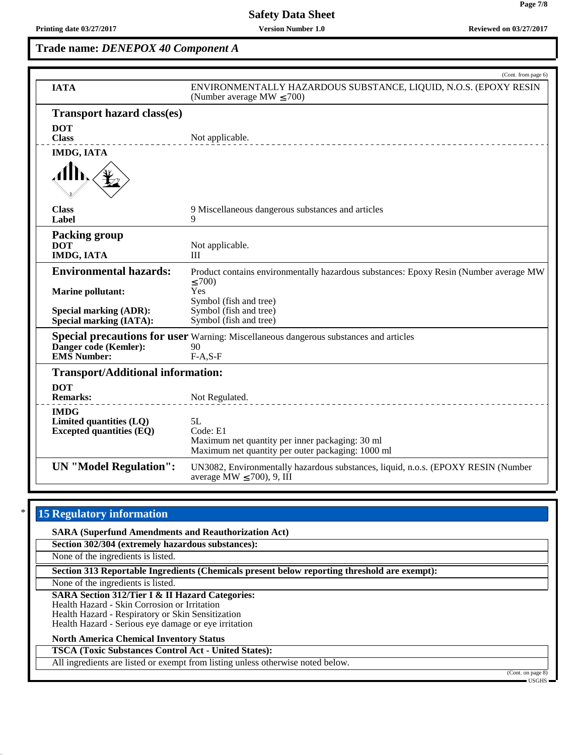# **Trade name:** *DENEPOX 40 Component A*

|                                                                 | (Cont. from page 6)                                                                                                 |
|-----------------------------------------------------------------|---------------------------------------------------------------------------------------------------------------------|
| <b>IATA</b>                                                     | ENVIRONMENTALLY HAZARDOUS SUBSTANCE, LIQUID, N.O.S. (EPOXY RESIN<br>(Number average MW $\leq$ 700)                  |
| <b>Transport hazard class(es)</b>                               |                                                                                                                     |
| <b>DOT</b>                                                      |                                                                                                                     |
| <b>Class</b>                                                    | Not applicable.                                                                                                     |
| <b>IMDG, IATA</b>                                               |                                                                                                                     |
|                                                                 |                                                                                                                     |
| <b>Class</b><br>Label                                           | 9 Miscellaneous dangerous substances and articles<br>9                                                              |
| <b>Packing group</b>                                            |                                                                                                                     |
| <b>DOT</b>                                                      | Not applicable.                                                                                                     |
| <b>IMDG, IATA</b>                                               | Ш                                                                                                                   |
| <b>Environmental hazards:</b>                                   | Product contains environmentally hazardous substances: Epoxy Resin (Number average MW<br>$\leq 700$                 |
| <b>Marine pollutant:</b>                                        | Yes                                                                                                                 |
|                                                                 | Symbol (fish and tree)                                                                                              |
| <b>Special marking (ADR):</b><br><b>Special marking (IATA):</b> | Symbol (fish and tree)<br>Symbol (fish and tree)                                                                    |
|                                                                 | <b>Special precautions for user</b> Warning: Miscellaneous dangerous substances and articles                        |
| Danger code (Kemler):                                           | 90                                                                                                                  |
| <b>EMS</b> Number:                                              | $F-A, S-F$                                                                                                          |
| <b>Transport/Additional information:</b>                        |                                                                                                                     |
| <b>DOT</b>                                                      |                                                                                                                     |
| <b>Remarks:</b>                                                 | Not Regulated.                                                                                                      |
| <b>IMDG</b><br>Limited quantities (LQ)                          | 5L                                                                                                                  |
| <b>Excepted quantities (EQ)</b>                                 | Code: E1                                                                                                            |
|                                                                 | Maximum net quantity per inner packaging: 30 ml                                                                     |
|                                                                 | Maximum net quantity per outer packaging: 1000 ml                                                                   |
| <b>UN</b> "Model Regulation":                                   | UN3082, Environmentally hazardous substances, liquid, n.o.s. (EPOXY RESIN (Number<br>average MW $\leq$ 700), 9, III |

## **15 Regulatory information**

**SARA (Superfund Amendments and Reauthorization Act) Section 302/304 (extremely hazardous substances):**

None of the ingredients is listed.

**Section 313 Reportable Ingredients (Chemicals present below reporting threshold are exempt):**

None of the ingredients is listed.

**SARA Section 312/Tier I & II Hazard Categories:**

Health Hazard - Skin Corrosion or Irritation

Health Hazard - Respiratory or Skin Sensitization

Health Hazard - Serious eye damage or eye irritation

## **North America Chemical Inventory Status**

**TSCA (Toxic Substances Control Act - United States):**

All ingredients are listed or exempt from listing unless otherwise noted below.

(Cont. on page 8)

USGHS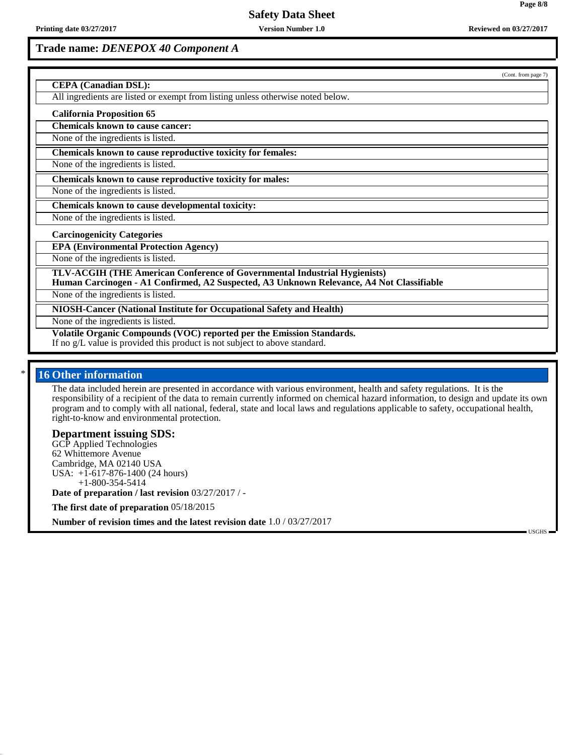USGHS

## **Trade name:** *DENEPOX 40 Component A*

|                                                                                                                                                                       | (Cont. from page 7) |
|-----------------------------------------------------------------------------------------------------------------------------------------------------------------------|---------------------|
| <b>CEPA</b> (Canadian DSL):                                                                                                                                           |                     |
| All ingredients are listed or exempt from listing unless otherwise noted below.                                                                                       |                     |
| <b>California Proposition 65</b>                                                                                                                                      |                     |
| <b>Chemicals known to cause cancer:</b>                                                                                                                               |                     |
| None of the ingredients is listed.                                                                                                                                    |                     |
| Chemicals known to cause reproductive toxicity for females:                                                                                                           |                     |
| None of the ingredients is listed.                                                                                                                                    |                     |
| Chemicals known to cause reproductive toxicity for males:                                                                                                             |                     |
| None of the ingredients is listed.                                                                                                                                    |                     |
| Chemicals known to cause developmental toxicity:                                                                                                                      |                     |
| None of the ingredients is listed.                                                                                                                                    |                     |
| <b>Carcinogenicity Categories</b>                                                                                                                                     |                     |
| <b>EPA (Environmental Protection Agency)</b>                                                                                                                          |                     |
| None of the ingredients is listed.                                                                                                                                    |                     |
| TLV-ACGIH (THE American Conference of Governmental Industrial Hygienists)<br>Human Carcinogen - A1 Confirmed, A2 Suspected, A3 Unknown Relevance, A4 Not Classifiable |                     |
| None of the ingredients is listed.                                                                                                                                    |                     |
| NIOSH-Cancer (National Institute for Occupational Safety and Health)                                                                                                  |                     |
| None of the ingredients is listed.                                                                                                                                    |                     |
| Volatile Organic Compounds (VOC) reported per the Emission Standards.<br>If no g/L value is provided this product is not subject to above standard.                   |                     |
|                                                                                                                                                                       |                     |

#### **16 Other information**

The data included herein are presented in accordance with various environment, health and safety regulations. It is the responsibility of a recipient of the data to remain currently informed on chemical hazard information, to design and update its own program and to comply with all national, federal, state and local laws and regulations applicable to safety, occupational health, right-to-know and environmental protection.

#### **Department issuing SDS:**

GCP Applied Technologies 62 Whittemore Avenue Cambridge, MA 02140 USA USA: +1-617-876-1400 (24 hours) +1-800-354-5414

**Date of preparation / last revision** 03/27/2017 / -

**The first date of preparation** 05/18/2015

**Number of revision times and the latest revision date** 1.0 / 03/27/2017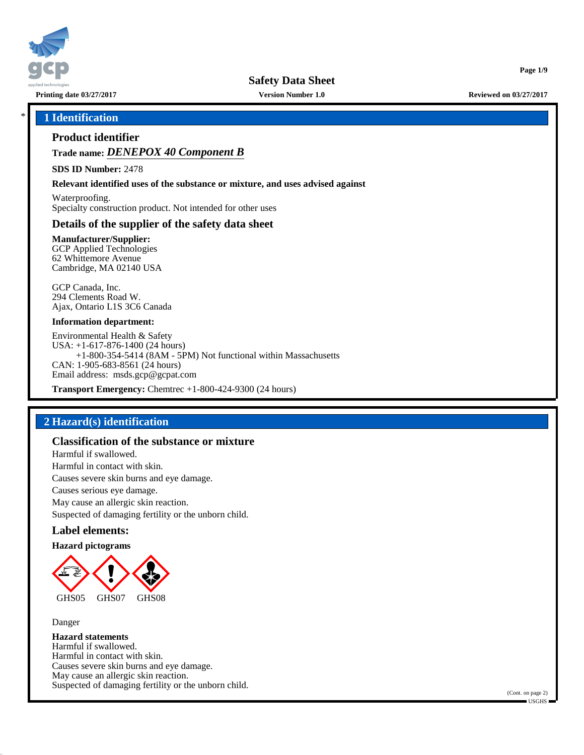

**Printing date 03/27/2017 Version Number 1.0 Reviewed on 03/27/2017**

**Page 1/9**

#### \* **1 Identification**

#### **Product identifier**

**Trade name:** *DENEPOX 40 Component B*

**SDS ID Number:** 2478

**Relevant identified uses of the substance or mixture, and uses advised against**

Waterproofing. Specialty construction product. Not intended for other uses

## **Details of the supplier of the safety data sheet**

**Manufacturer/Supplier:** GCP Applied Technologies 62 Whittemore Avenue Cambridge, MA 02140 USA

GCP Canada, Inc. 294 Clements Road W. Ajax, Ontario L1S 3C6 Canada

#### **Information department:**

Environmental Health & Safety USA: +1-617-876-1400 (24 hours) +1-800-354-5414 (8AM - 5PM) Not functional within Massachusetts CAN: 1-905-683-8561 (24 hours) Email address: msds.gcp@gcpat.com

**Transport Emergency:** Chemtrec +1-800-424-9300 (24 hours)

## **2 Hazard(s) identification**

#### **Classification of the substance or mixture**

Harmful if swallowed. Harmful in contact with skin. Causes severe skin burns and eye damage. Causes serious eye damage. May cause an allergic skin reaction. Suspected of damaging fertility or the unborn child.

#### **Label elements:**

#### **Hazard pictograms**



Danger

**Hazard statements** Harmful if swallowed. Harmful in contact with skin. Causes severe skin burns and eye damage. May cause an allergic skin reaction. Suspected of damaging fertility or the unborn child.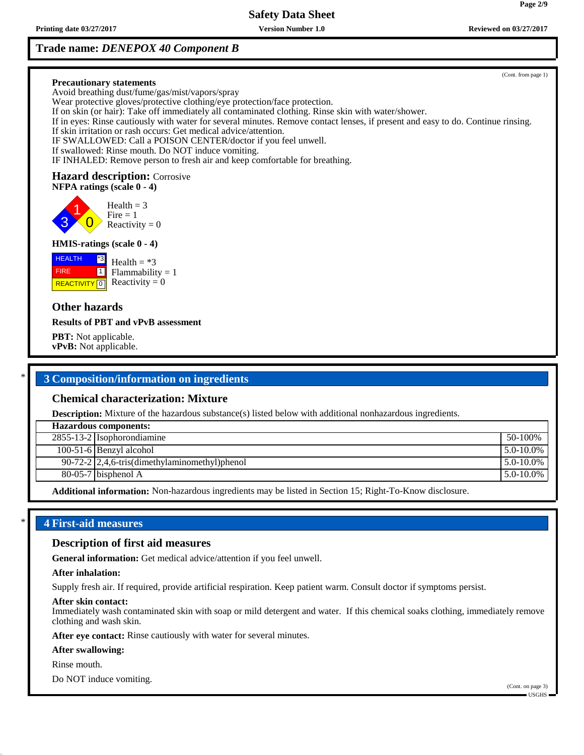**Printing date 03/27/2017 Version Number 1.0 Reviewed on 03/27/2017 Reviewed on 03/27/2017** 

## **Trade name:** *DENEPOX 40 Component B*

(Cont. from page 1) **Precautionary statements** Avoid breathing dust/fume/gas/mist/vapors/spray Wear protective gloves/protective clothing/eye protection/face protection. If on skin (or hair): Take off immediately all contaminated clothing. Rinse skin with water/shower. If in eyes: Rinse cautiously with water for several minutes. Remove contact lenses, if present and easy to do. Continue rinsing. If skin irritation or rash occurs: Get medical advice/attention. IF SWALLOWED: Call a POISON CENTER/doctor if you feel unwell. If swallowed: Rinse mouth. Do NOT induce vomiting. IF INHALED: Remove person to fresh air and keep comfortable for breathing. **Hazard description:** Corrosive **NFPA ratings (scale 0 - 4)** 3 1  $\overline{\mathbf{0}}$  $Health = 3$  $Fire = 1$ Reactivity  $= 0$ **HMIS-ratings (scale 0 - 4) HEALTH**  FIRE **REACTIVITY** 0 \*3  $\boxed{1}$ Health  $= *3$  $Flammability = 1$ Reactivity  $= 0$ **Other hazards Results of PBT and vPvB assessment PBT:** Not applicable. **vPvB:** Not applicable.

## \* **3 Composition/information on ingredients**

## **Chemical characterization: Mixture**

**Description:** Mixture of the hazardous substance(s) listed below with additional nonhazardous ingredients.

| <b>Hazardous components:</b> |                                                 |                |
|------------------------------|-------------------------------------------------|----------------|
|                              | $2855-13-2$ Isophorondiamine                    | 50-100%        |
|                              | $100-51-6$ Benzyl alcohol                       | $5.0 - 10.0\%$ |
|                              | $90-72-2$ 2,4,6-tris(dimethylaminomethyl)phenol | $5.0 - 10.0\%$ |
|                              | $80-05-7$ bisphenol A                           | $5.0 - 10.0\%$ |
|                              |                                                 |                |

**Additional information:** Non-hazardous ingredients may be listed in Section 15; Right-To-Know disclosure.

## \* **4 First-aid measures**

#### **Description of first aid measures**

**General information:** Get medical advice/attention if you feel unwell.

#### **After inhalation:**

Supply fresh air. If required, provide artificial respiration. Keep patient warm. Consult doctor if symptoms persist.

#### **After skin contact:**

Immediately wash contaminated skin with soap or mild detergent and water. If this chemical soaks clothing, immediately remove clothing and wash skin.

**After eye contact:** Rinse cautiously with water for several minutes.

#### **After swallowing:**

Rinse mouth.

Do NOT induce vomiting.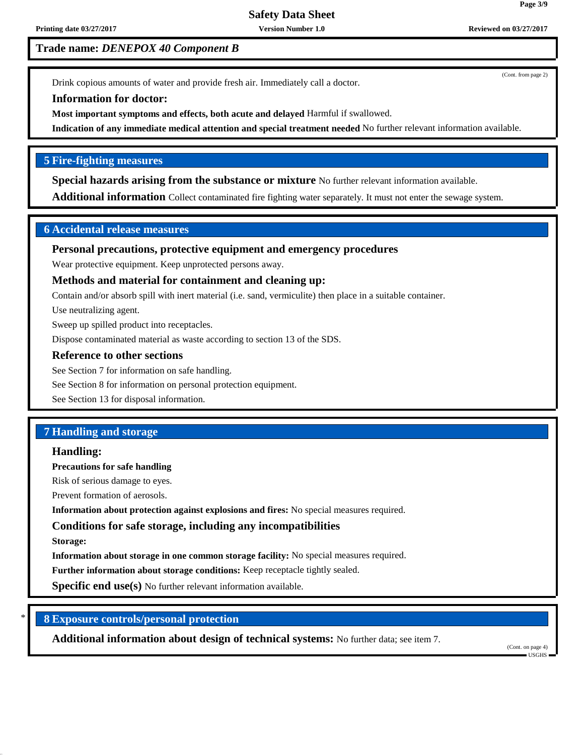Drink copious amounts of water and provide fresh air. Immediately call a doctor.

#### **Information for doctor:**

**Most important symptoms and effects, both acute and delayed** Harmful if swallowed.

**Indication of any immediate medical attention and special treatment needed** No further relevant information available.

## **5 Fire-fighting measures**

**Special hazards arising from the substance or mixture** No further relevant information available.

**Additional information** Collect contaminated fire fighting water separately. It must not enter the sewage system.

#### **6 Accidental release measures**

**Personal precautions, protective equipment and emergency procedures**

Wear protective equipment. Keep unprotected persons away.

#### **Methods and material for containment and cleaning up:**

Contain and/or absorb spill with inert material (i.e. sand, vermiculite) then place in a suitable container.

Use neutralizing agent.

Sweep up spilled product into receptacles.

Dispose contaminated material as waste according to section 13 of the SDS.

#### **Reference to other sections**

See Section 7 for information on safe handling.

See Section 8 for information on personal protection equipment.

See Section 13 for disposal information.

## **7 Handling and storage**

#### **Handling:**

**Precautions for safe handling**

Risk of serious damage to eyes.

Prevent formation of aerosols.

**Information about protection against explosions and fires:** No special measures required.

## **Conditions for safe storage, including any incompatibilities**

**Storage:**

**Information about storage in one common storage facility:** No special measures required.

**Further information about storage conditions:** Keep receptacle tightly sealed.

**Specific end use(s)** No further relevant information available.

\* **8 Exposure controls/personal protection**

**Additional information about design of technical systems:** No further data; see item 7.

(Cont. on page 4) USGHS

(Cont. from page 2)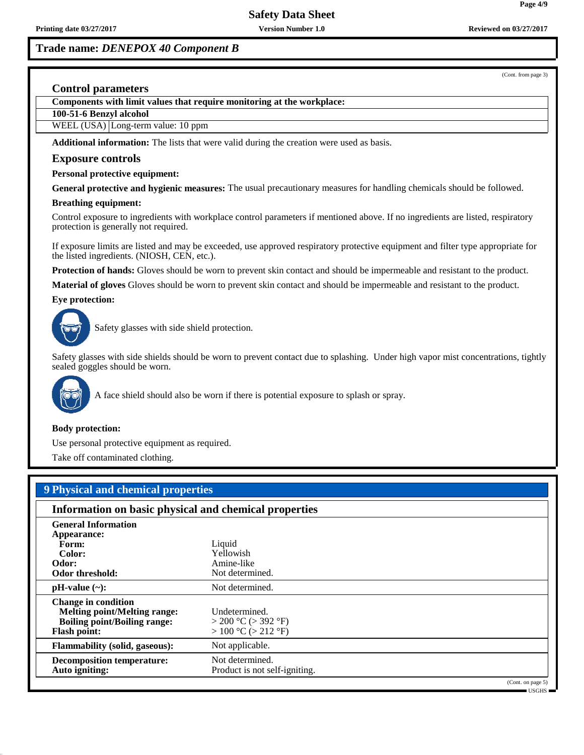(Cont. from page 3)

#### **Control parameters**

**Components with limit values that require monitoring at the workplace:**

**100-51-6 Benzyl alcohol**

WEEL (USA) Long-term value: 10 ppm

**Additional information:** The lists that were valid during the creation were used as basis.

#### **Exposure controls**

#### **Personal protective equipment:**

**General protective and hygienic measures:** The usual precautionary measures for handling chemicals should be followed.

#### **Breathing equipment:**

Control exposure to ingredients with workplace control parameters if mentioned above. If no ingredients are listed, respiratory protection is generally not required.

If exposure limits are listed and may be exceeded, use approved respiratory protective equipment and filter type appropriate for the listed ingredients. (NIOSH, CEN, etc.).

**Protection of hands:** Gloves should be worn to prevent skin contact and should be impermeable and resistant to the product.

**Material of gloves** Gloves should be worn to prevent skin contact and should be impermeable and resistant to the product.

**Eye protection:**



Safety glasses with side shield protection.

Safety glasses with side shields should be worn to prevent contact due to splashing. Under high vapor mist concentrations, tightly sealed goggles should be worn.



A face shield should also be worn if there is potential exposure to splash or spray.

#### **Body protection:**

Use personal protective equipment as required.

Take off contaminated clothing.

# **9 Physical and chemical properties**

| Information on basic physical and chemical properties                                                                           |                                                                        |                   |
|---------------------------------------------------------------------------------------------------------------------------------|------------------------------------------------------------------------|-------------------|
| <b>General Information</b><br>Appearance:<br>Form:<br>Color:<br>Odor:<br>Odor threshold:                                        | Liquid<br>Yellowish<br>Amine-like<br>Not determined.                   |                   |
| $pH-value$ (~):                                                                                                                 | Not determined.                                                        |                   |
| <b>Change in condition</b><br><b>Melting point/Melting range:</b><br><b>Boiling point/Boiling range:</b><br><b>Flash point:</b> | Undetermined.<br>$>$ 200 °C ( $>$ 392 °F)<br>$> 100 °C$ ( $> 212 °F$ ) |                   |
| <b>Flammability (solid, gaseous):</b>                                                                                           | Not applicable.                                                        |                   |
| <b>Decomposition temperature:</b><br>Auto igniting:                                                                             | Not determined.<br>Product is not self-igniting.                       |                   |
|                                                                                                                                 |                                                                        | (Cont. on page 5) |

USGHS

**Page 4/9**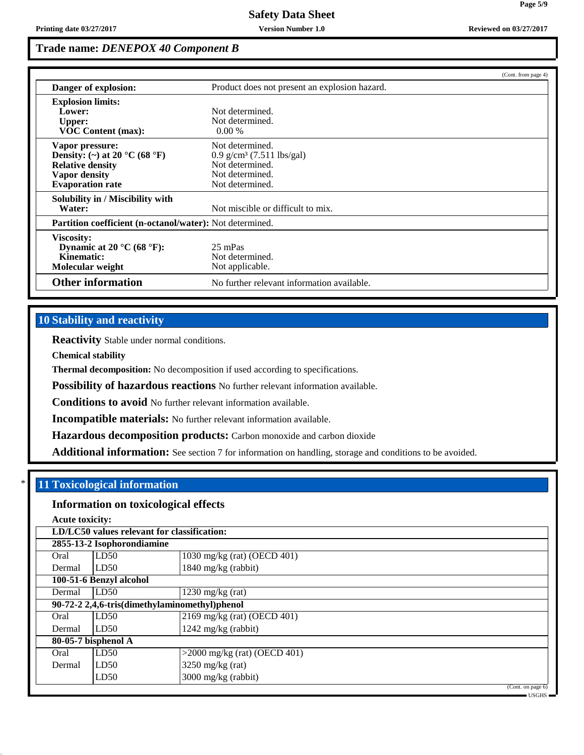|                                                                                                                                             |                                                                                                                     | (Cont. from page 4) |  |
|---------------------------------------------------------------------------------------------------------------------------------------------|---------------------------------------------------------------------------------------------------------------------|---------------------|--|
| Danger of explosion:                                                                                                                        | Product does not present an explosion hazard.                                                                       |                     |  |
| <b>Explosion limits:</b><br>Lower:<br><b>Upper:</b><br><b>VOC Content (max):</b>                                                            | Not determined.<br>Not determined.<br>$0.00\%$                                                                      |                     |  |
| Vapor pressure:<br>Density: (~) at 20 $^{\circ}$ C (68 $^{\circ}$ F)<br><b>Relative density</b><br>Vapor density<br><b>Evaporation rate</b> | Not determined.<br>$0.9$ g/cm <sup>3</sup> (7.511 lbs/gal)<br>Not determined.<br>Not determined.<br>Not determined. |                     |  |
| Solubility in / Miscibility with<br>Water:                                                                                                  | Not miscible or difficult to mix.                                                                                   |                     |  |
|                                                                                                                                             | Partition coefficient (n-octanol/water): Not determined.                                                            |                     |  |
| Viscosity:<br>Dynamic at 20 $\mathrm{^{\circ}C}$ (68 $\mathrm{^{\circ}F}$ ):<br>Kinematic:<br>Molecular weight                              | 25 mPas<br>Not determined.<br>Not applicable.                                                                       |                     |  |
| <b>Other information</b>                                                                                                                    | No further relevant information available.                                                                          |                     |  |

## **10 Stability and reactivity**

**Reactivity** Stable under normal conditions.

**Chemical stability**

**Thermal decomposition:** No decomposition if used according to specifications.

**Possibility of hazardous reactions** No further relevant information available.

**Conditions to avoid** No further relevant information available.

**Incompatible materials:** No further relevant information available.

**Hazardous decomposition products:** Carbon monoxide and carbon dioxide

**Additional information:** See section 7 for information on handling, storage and conditions to be avoided.

# \* **11 Toxicological information**

## **Information on toxicological effects**

**Acute toxicity:**

| LD/LC50 values relevant for classification: |                                               |                                            |
|---------------------------------------------|-----------------------------------------------|--------------------------------------------|
|                                             | 2855-13-2 Isophorondiamine                    |                                            |
| Oral                                        | LD50                                          | 1030 mg/kg (rat) (OECD 401)                |
| Dermal                                      | LD50                                          | 1840 mg/kg (rabbit)                        |
|                                             | 100-51-6 Benzyl alcohol                       |                                            |
| Dermal                                      | LD50                                          | $1230$ mg/kg (rat)                         |
|                                             | 90-72-2 2,4,6-tris(dimethylaminomethyl)phenol |                                            |
| Oral                                        | LD50                                          | 2169 mg/kg (rat) (OECD 401)                |
| Dermal                                      | LD50                                          | $1242$ mg/kg (rabbit)                      |
|                                             | 80-05-7 bisphenol A                           |                                            |
| Oral                                        | LD50                                          | $>2000$ mg/kg (rat) (OECD 401)             |
| Dermal                                      | LD50                                          | $3250$ mg/kg (rat)                         |
|                                             | LD50                                          | 3000 mg/kg (rabbit)                        |
|                                             |                                               | (Cont. on page 6)<br>$\blacksquare$ LISGHS |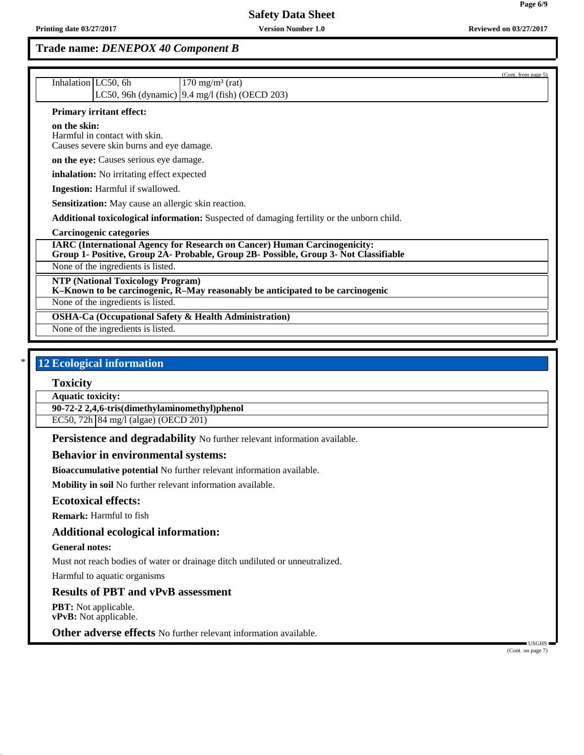|                                                                                                                                                                          | (Cont. from page 5) |
|--------------------------------------------------------------------------------------------------------------------------------------------------------------------------|---------------------|
| Inhalation LC50, 6h<br>$170 \text{ mg/m}^3$ (rat)                                                                                                                        |                     |
| LC50, 96h (dynamic) $\vert$ 9.4 mg/l (fish) (OECD 203)                                                                                                                   |                     |
| <b>Primary irritant effect:</b>                                                                                                                                          |                     |
| on the skin:<br>Harmful in contact with skin.<br>Causes severe skin burns and eye damage.                                                                                |                     |
| on the eye: Causes serious eye damage.                                                                                                                                   |                     |
| inhalation: No irritating effect expected                                                                                                                                |                     |
| <b>Ingestion:</b> Harmful if swallowed.                                                                                                                                  |                     |
| Sensitization: May cause an allergic skin reaction.                                                                                                                      |                     |
| Additional toxicological information: Suspected of damaging fertility or the unborn child.                                                                               |                     |
| <b>Carcinogenic categories</b>                                                                                                                                           |                     |
| <b>IARC (International Agency for Research on Cancer) Human Carcinogenicity:</b><br>Group 1- Positive, Group 2A- Probable, Group 2B- Possible, Group 3- Not Classifiable |                     |
| None of the ingredients is listed.                                                                                                                                       |                     |
| <b>NTP (National Toxicology Program)</b><br>K-Known to be carcinogenic, R-May reasonably be anticipated to be carcinogenic                                               |                     |
| None of the ingredients is listed.                                                                                                                                       |                     |
| <b>OSHA-Ca (Occupational Safety &amp; Health Administration)</b>                                                                                                         |                     |
| None of the ingredients is listed.                                                                                                                                       |                     |
|                                                                                                                                                                          |                     |

# **12 Ecological information**

## **Toxicity**

**Aquatic toxicity:**

**90-72-2 2,4,6-tris(dimethylaminomethyl)phenol**

EC50, 72h 84 mg/l (algae) (OECD 201)

**Persistence and degradability** No further relevant information available.

#### **Behavior in environmental systems:**

**Bioaccumulative potential** No further relevant information available.

**Mobility in soil** No further relevant information available.

#### **Ecotoxical effects:**

**Remark:** Harmful to fish

#### **Additional ecological information:**

#### **General notes:**

Must not reach bodies of water or drainage ditch undiluted or unneutralized.

Harmful to aquatic organisms

#### **Results of PBT and vPvB assessment**

**PBT:** Not applicable. **vPvB:** Not applicable.

**Other adverse effects** No further relevant information available.

 USGHS (Cont. on page 7)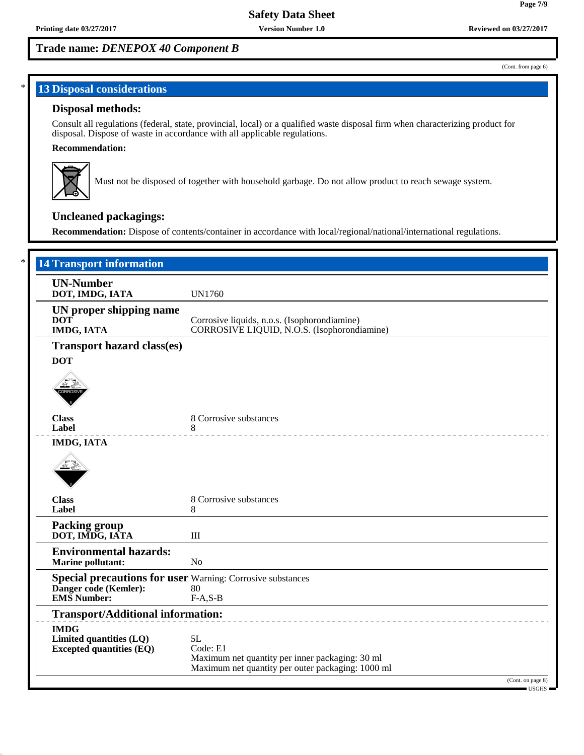(Cont. from page 6)

**Page 7/9**

## **13 Disposal considerations**

#### **Disposal methods:**

Consult all regulations (federal, state, provincial, local) or a qualified waste disposal firm when characterizing product for disposal. Dispose of waste in accordance with all applicable regulations.

#### **Recommendation:**



Must not be disposed of together with household garbage. Do not allow product to reach sewage system.

# **Uncleaned packagings:**

**Recommendation:** Dispose of contents/container in accordance with local/regional/national/international regulations.

| <b>UN-Number</b>                                                                              |                                                   |
|-----------------------------------------------------------------------------------------------|---------------------------------------------------|
| DOT, IMDG, IATA                                                                               | <b>UN1760</b>                                     |
| UN proper shipping name                                                                       |                                                   |
| <b>DOT</b>                                                                                    | Corrosive liquids, n.o.s. (Isophorondiamine)      |
| <b>IMDG, IATA</b>                                                                             | CORROSIVE LIQUID, N.O.S. (Isophorondiamine)       |
| <b>Transport hazard class(es)</b>                                                             |                                                   |
| <b>DOT</b>                                                                                    |                                                   |
| CORROS                                                                                        |                                                   |
|                                                                                               |                                                   |
| <b>Class</b>                                                                                  | 8 Corrosive substances                            |
| Label                                                                                         | 8<br>---------------------------------            |
| <b>IMDG, IATA</b>                                                                             |                                                   |
|                                                                                               |                                                   |
|                                                                                               |                                                   |
| <b>Class</b>                                                                                  | 8 Corrosive substances                            |
| Label                                                                                         | 8                                                 |
| <b>Packing group</b>                                                                          |                                                   |
| DOT, IMDG, IATA                                                                               | $\mathbf{III}$                                    |
| <b>Environmental hazards:</b>                                                                 |                                                   |
| <b>Marine pollutant:</b>                                                                      | N <sub>o</sub>                                    |
| <b>Special precautions for user</b> Warning: Corrosive substances<br>Danger code (Kemler): 80 |                                                   |
| <b>EMS</b> Number:                                                                            |                                                   |
|                                                                                               | $F-A, S-B$                                        |
| <b>Transport/Additional information:</b>                                                      |                                                   |
| <b>IMDG</b>                                                                                   |                                                   |
| Limited quantities (LQ)<br><b>Excepted quantities (EQ)</b>                                    | 5L<br>Code: E1                                    |
|                                                                                               | Maximum net quantity per inner packaging: 30 ml   |
|                                                                                               | Maximum net quantity per outer packaging: 1000 ml |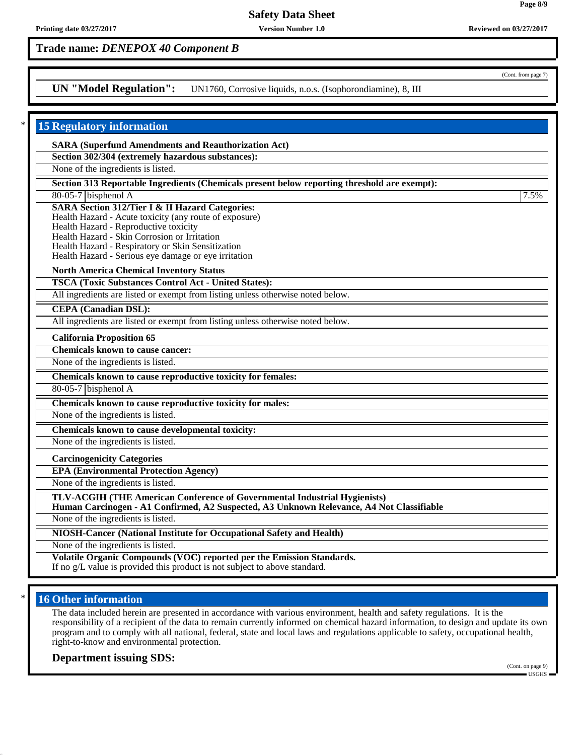# **Trade name:** *DENEPOX 40 Component B*

## **UN "Model Regulation":** UN1760, Corrosive liquids, n.o.s. (Isophorondiamine), 8, III

| <b>15 Regulatory information</b>                                                                                                                                      |      |
|-----------------------------------------------------------------------------------------------------------------------------------------------------------------------|------|
| <b>SARA (Superfund Amendments and Reauthorization Act)</b>                                                                                                            |      |
| Section 302/304 (extremely hazardous substances):                                                                                                                     |      |
| None of the ingredients is listed.                                                                                                                                    |      |
| Section 313 Reportable Ingredients (Chemicals present below reporting threshold are exempt):                                                                          |      |
| 80-05-7 bisphenol A                                                                                                                                                   | 7.5% |
| <b>SARA Section 312/Tier I &amp; II Hazard Categories:</b>                                                                                                            |      |
| Health Hazard - Acute toxicity (any route of exposure)<br>Health Hazard - Reproductive toxicity                                                                       |      |
| Health Hazard - Skin Corrosion or Irritation                                                                                                                          |      |
| Health Hazard - Respiratory or Skin Sensitization                                                                                                                     |      |
| Health Hazard - Serious eye damage or eye irritation                                                                                                                  |      |
| <b>North America Chemical Inventory Status</b>                                                                                                                        |      |
| <b>TSCA (Toxic Substances Control Act - United States):</b>                                                                                                           |      |
| All ingredients are listed or exempt from listing unless otherwise noted below.                                                                                       |      |
| <b>CEPA</b> (Canadian DSL):                                                                                                                                           |      |
| All ingredients are listed or exempt from listing unless otherwise noted below.                                                                                       |      |
| <b>California Proposition 65</b>                                                                                                                                      |      |
| <b>Chemicals known to cause cancer:</b>                                                                                                                               |      |
| None of the ingredients is listed.                                                                                                                                    |      |
| Chemicals known to cause reproductive toxicity for females:                                                                                                           |      |
| $80-05-7$ bisphenol A                                                                                                                                                 |      |
| Chemicals known to cause reproductive toxicity for males:                                                                                                             |      |
| None of the ingredients is listed.                                                                                                                                    |      |
| Chemicals known to cause developmental toxicity:                                                                                                                      |      |
| None of the ingredients is listed.                                                                                                                                    |      |
| <b>Carcinogenicity Categories</b>                                                                                                                                     |      |
| <b>EPA (Environmental Protection Agency)</b>                                                                                                                          |      |
| None of the ingredients is listed.                                                                                                                                    |      |
| TLV-ACGIH (THE American Conference of Governmental Industrial Hygienists)<br>Human Carcinogen - A1 Confirmed, A2 Suspected, A3 Unknown Relevance, A4 Not Classifiable |      |
| None of the ingredients is listed.                                                                                                                                    |      |
| NIOSH-Cancer (National Institute for Occupational Safety and Health)                                                                                                  |      |
| None of the ingredients is listed.                                                                                                                                    |      |
| Volatile Organic Compounds (VOC) reported per the Emission Standards.<br>If no g/L value is provided this product is not subject to above standard.                   |      |

## **16 Other information**

The data included herein are presented in accordance with various environment, health and safety regulations. It is the responsibility of a recipient of the data to remain currently informed on chemical hazard information, to design and update its own program and to comply with all national, federal, state and local laws and regulations applicable to safety, occupational health, right-to-know and environmental protection.

#### **Department issuing SDS:**

(Cont. on page 9) USGHS

(Cont. from page 7)